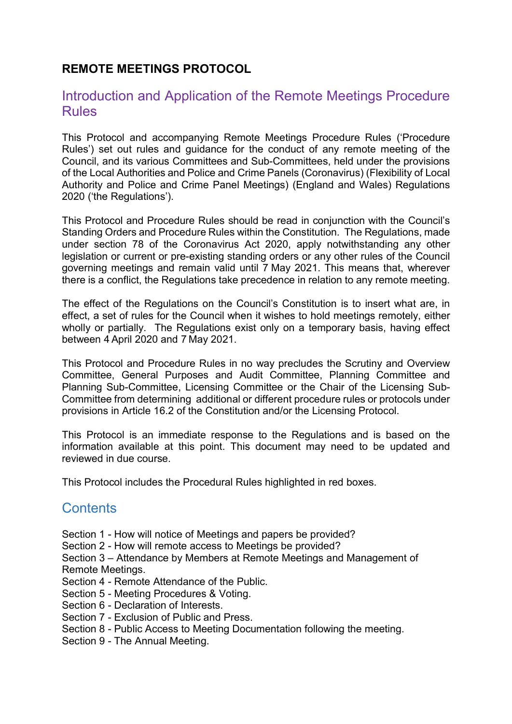#### REMOTE MEETINGS PROTOCOL

#### Introduction and Application of the Remote Meetings Procedure Rules

This Protocol and accompanying Remote Meetings Procedure Rules ('Procedure Rules') set out rules and guidance for the conduct of any remote meeting of the Council, and its various Committees and Sub-Committees, held under the provisions of the Local Authorities and Police and Crime Panels (Coronavirus) (Flexibility of Local Authority and Police and Crime Panel Meetings) (England and Wales) Regulations 2020 ('the Regulations').

This Protocol and Procedure Rules should be read in conjunction with the Council's Standing Orders and Procedure Rules within the Constitution. The Regulations, made under section 78 of the Coronavirus Act 2020, apply notwithstanding any other legislation or current or pre-existing standing orders or any other rules of the Council governing meetings and remain valid until 7 May 2021. This means that, wherever there is a conflict, the Regulations take precedence in relation to any remote meeting.

The effect of the Regulations on the Council's Constitution is to insert what are, in effect, a set of rules for the Council when it wishes to hold meetings remotely, either wholly or partially. The Regulations exist only on a temporary basis, having effect between 4 April 2020 and 7 May 2021.

This Protocol and Procedure Rules in no way precludes the Scrutiny and Overview Committee, General Purposes and Audit Committee, Planning Committee and Planning Sub-Committee, Licensing Committee or the Chair of the Licensing Sub-Committee from determining additional or different procedure rules or protocols under provisions in Article 16.2 of the Constitution and/or the Licensing Protocol.

This Protocol is an immediate response to the Regulations and is based on the information available at this point. This document may need to be updated and reviewed in due course.

This Protocol includes the Procedural Rules highlighted in red boxes.

# **Contents**

- Section 1 How will notice of Meetings and papers be provided?
- Section 2 How will remote access to Meetings be provided?

Section 3 – Attendance by Members at Remote Meetings and Management of Remote Meetings.

- Section 4 Remote Attendance of the Public.
- Section 5 Meeting Procedures & Voting.
- Section 6 Declaration of Interests.
- Section 7 Exclusion of Public and Press.
- Section 8 Public Access to Meeting Documentation following the meeting.
- Section 9 The Annual Meeting.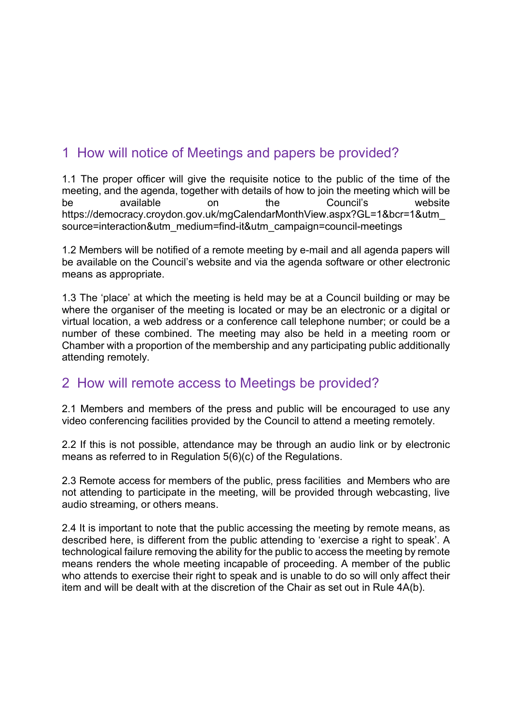# 1 How will notice of Meetings and papers be provided?

1.1 The proper officer will give the requisite notice to the public of the time of the meeting, and the agenda, together with details of how to join the meeting which will be be available on the Council's website https://democracy.croydon.gov.uk/mgCalendarMonthView.aspx?GL=1&bcr=1&utm\_ source=interaction&utm\_medium=find-it&utm\_campaign=council-meetings

1.2 Members will be notified of a remote meeting by e-mail and all agenda papers will be available on the Council's website and via the agenda software or other electronic means as appropriate.

1.3 The 'place' at which the meeting is held may be at a Council building or may be where the organiser of the meeting is located or may be an electronic or a digital or virtual location, a web address or a conference call telephone number; or could be a number of these combined. The meeting may also be held in a meeting room or Chamber with a proportion of the membership and any participating public additionally attending remotely.

# 2 How will remote access to Meetings be provided?

2.1 Members and members of the press and public will be encouraged to use any video conferencing facilities provided by the Council to attend a meeting remotely.

2.2 If this is not possible, attendance may be through an audio link or by electronic means as referred to in Regulation 5(6)(c) of the Regulations.

2.3 Remote access for members of the public, press facilities and Members who are not attending to participate in the meeting, will be provided through webcasting, live audio streaming, or others means.

2.4 It is important to note that the public accessing the meeting by remote means, as described here, is different from the public attending to 'exercise a right to speak'. A technological failure removing the ability for the public to access the meeting by remote means renders the whole meeting incapable of proceeding. A member of the public who attends to exercise their right to speak and is unable to do so will only affect their item and will be dealt with at the discretion of the Chair as set out in Rule 4A(b).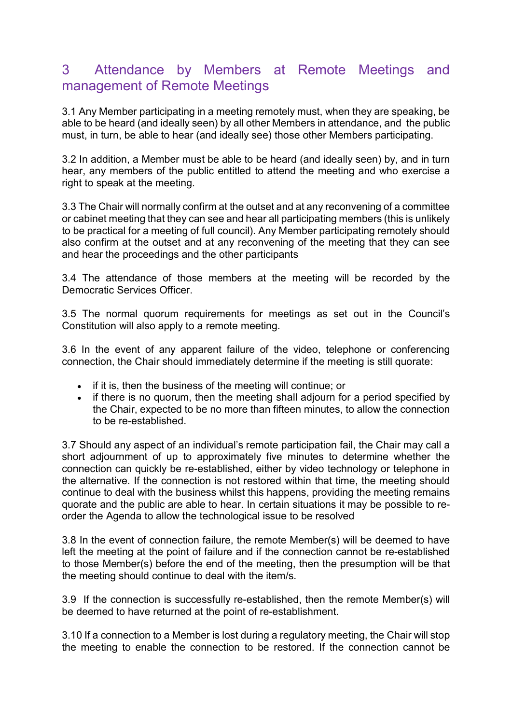# 3 Attendance by Members at Remote Meetings and management of Remote Meetings

3.1 Any Member participating in a meeting remotely must, when they are speaking, be able to be heard (and ideally seen) by all other Members in attendance, and the public must, in turn, be able to hear (and ideally see) those other Members participating.

3.2 In addition, a Member must be able to be heard (and ideally seen) by, and in turn hear, any members of the public entitled to attend the meeting and who exercise a right to speak at the meeting.

3.3 The Chair will normally confirm at the outset and at any reconvening of a committee or cabinet meeting that they can see and hear all participating members (this is unlikely to be practical for a meeting of full council). Any Member participating remotely should also confirm at the outset and at any reconvening of the meeting that they can see and hear the proceedings and the other participants

3.4 The attendance of those members at the meeting will be recorded by the Democratic Services Officer.

3.5 The normal quorum requirements for meetings as set out in the Council's Constitution will also apply to a remote meeting.

3.6 In the event of any apparent failure of the video, telephone or conferencing connection, the Chair should immediately determine if the meeting is still quorate:

- if it is, then the business of the meeting will continue; or
- if there is no quorum, then the meeting shall adjourn for a period specified by the Chair, expected to be no more than fifteen minutes, to allow the connection to be re-established.

3.7 Should any aspect of an individual's remote participation fail, the Chair may call a short adjournment of up to approximately five minutes to determine whether the connection can quickly be re-established, either by video technology or telephone in the alternative. If the connection is not restored within that time, the meeting should continue to deal with the business whilst this happens, providing the meeting remains quorate and the public are able to hear. In certain situations it may be possible to reorder the Agenda to allow the technological issue to be resolved

3.8 In the event of connection failure, the remote Member(s) will be deemed to have left the meeting at the point of failure and if the connection cannot be re-established to those Member(s) before the end of the meeting, then the presumption will be that the meeting should continue to deal with the item/s.

3.9 If the connection is successfully re-established, then the remote Member(s) will be deemed to have returned at the point of re-establishment.

3.10 If a connection to a Member is lost during a regulatory meeting, the Chair will stop the meeting to enable the connection to be restored. If the connection cannot be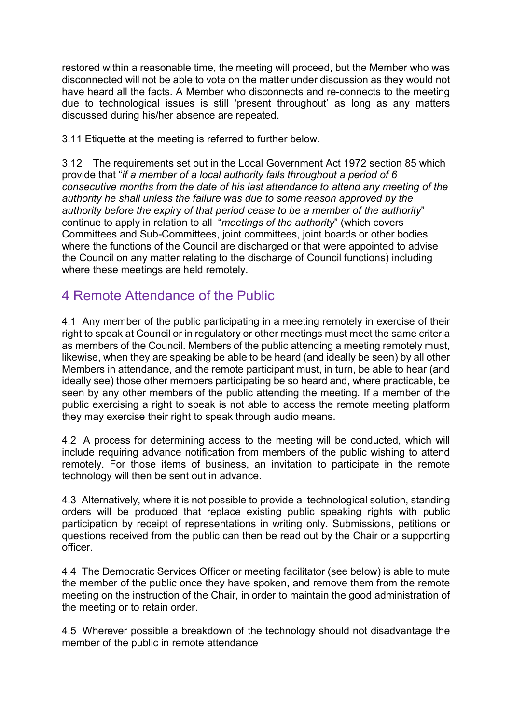restored within a reasonable time, the meeting will proceed, but the Member who was disconnected will not be able to vote on the matter under discussion as they would not have heard all the facts. A Member who disconnects and re-connects to the meeting due to technological issues is still 'present throughout' as long as any matters discussed during his/her absence are repeated.

3.11 Etiquette at the meeting is referred to further below.

3.12 The requirements set out in the Local Government Act 1972 section 85 which provide that "if a member of a local authority fails throughout a period of 6 consecutive months from the date of his last attendance to attend any meeting of the authority he shall unless the failure was due to some reason approved by the authority before the expiry of that period cease to be a member of the authority" continue to apply in relation to all "meetings of the authority" (which covers Committees and Sub-Committees, joint committees, joint boards or other bodies where the functions of the Council are discharged or that were appointed to advise the Council on any matter relating to the discharge of Council functions) including where these meetings are held remotely.

# 4 Remote Attendance of the Public

4.1 Any member of the public participating in a meeting remotely in exercise of their right to speak at Council or in regulatory or other meetings must meet the same criteria as members of the Council. Members of the public attending a meeting remotely must, likewise, when they are speaking be able to be heard (and ideally be seen) by all other Members in attendance, and the remote participant must, in turn, be able to hear (and ideally see) those other members participating be so heard and, where practicable, be seen by any other members of the public attending the meeting. If a member of the public exercising a right to speak is not able to access the remote meeting platform they may exercise their right to speak through audio means.

4.2 A process for determining access to the meeting will be conducted, which will include requiring advance notification from members of the public wishing to attend remotely. For those items of business, an invitation to participate in the remote technology will then be sent out in advance.

4.3 Alternatively, where it is not possible to provide a technological solution, standing orders will be produced that replace existing public speaking rights with public participation by receipt of representations in writing only. Submissions, petitions or questions received from the public can then be read out by the Chair or a supporting officer.

4.4 The Democratic Services Officer or meeting facilitator (see below) is able to mute the member of the public once they have spoken, and remove them from the remote meeting on the instruction of the Chair, in order to maintain the good administration of the meeting or to retain order.

4.5 Wherever possible a breakdown of the technology should not disadvantage the member of the public in remote attendance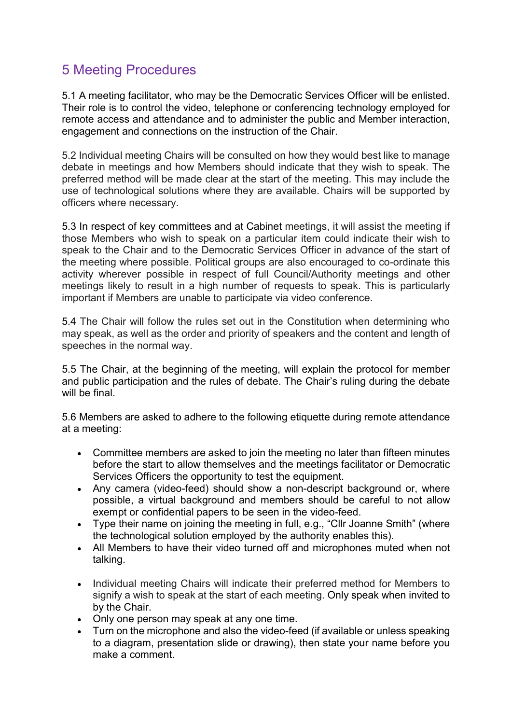# 5 Meeting Procedures

5.1 A meeting facilitator, who may be the Democratic Services Officer will be enlisted. Their role is to control the video, telephone or conferencing technology employed for remote access and attendance and to administer the public and Member interaction, engagement and connections on the instruction of the Chair.

5.2 Individual meeting Chairs will be consulted on how they would best like to manage debate in meetings and how Members should indicate that they wish to speak. The preferred method will be made clear at the start of the meeting. This may include the use of technological solutions where they are available. Chairs will be supported by officers where necessary.

5.3 In respect of key committees and at Cabinet meetings, it will assist the meeting if those Members who wish to speak on a particular item could indicate their wish to speak to the Chair and to the Democratic Services Officer in advance of the start of the meeting where possible. Political groups are also encouraged to co-ordinate this activity wherever possible in respect of full Council/Authority meetings and other meetings likely to result in a high number of requests to speak. This is particularly important if Members are unable to participate via video conference.

5.4 The Chair will follow the rules set out in the Constitution when determining who may speak, as well as the order and priority of speakers and the content and length of speeches in the normal way.

5.5 The Chair, at the beginning of the meeting, will explain the protocol for member and public participation and the rules of debate. The Chair's ruling during the debate will be final.

5.6 Members are asked to adhere to the following etiquette during remote attendance at a meeting:

- Committee members are asked to join the meeting no later than fifteen minutes before the start to allow themselves and the meetings facilitator or Democratic Services Officers the opportunity to test the equipment.
- Any camera (video-feed) should show a non-descript background or, where possible, a virtual background and members should be careful to not allow exempt or confidential papers to be seen in the video-feed.
- Type their name on joining the meeting in full, e.g., "Cllr Joanne Smith" (where the technological solution employed by the authority enables this).
- All Members to have their video turned off and microphones muted when not talking.
- Individual meeting Chairs will indicate their preferred method for Members to signify a wish to speak at the start of each meeting. Only speak when invited to by the Chair.
- Only one person may speak at any one time.
- Turn on the microphone and also the video-feed (if available or unless speaking to a diagram, presentation slide or drawing), then state your name before you make a comment.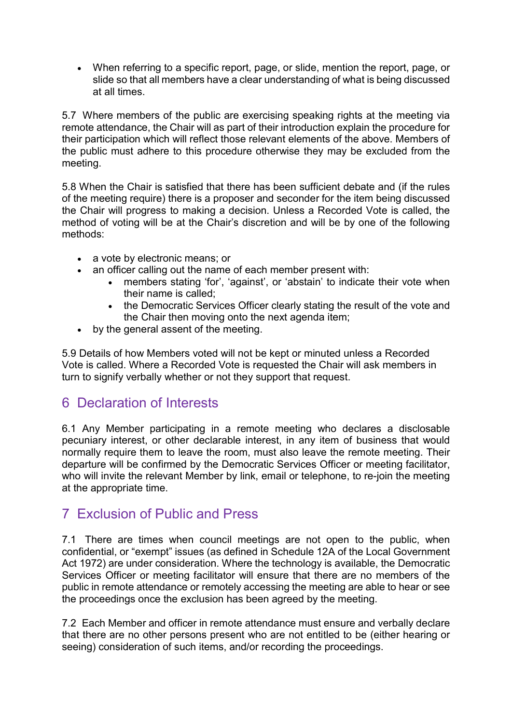When referring to a specific report, page, or slide, mention the report, page, or slide so that all members have a clear understanding of what is being discussed at all times.

5.7 Where members of the public are exercising speaking rights at the meeting via remote attendance, the Chair will as part of their introduction explain the procedure for their participation which will reflect those relevant elements of the above. Members of the public must adhere to this procedure otherwise they may be excluded from the meeting.

5.8 When the Chair is satisfied that there has been sufficient debate and (if the rules of the meeting require) there is a proposer and seconder for the item being discussed the Chair will progress to making a decision. Unless a Recorded Vote is called, the method of voting will be at the Chair's discretion and will be by one of the following methods:

- a vote by electronic means; or
- an officer calling out the name of each member present with:
	- members stating 'for', 'against', or 'abstain' to indicate their vote when their name is called;
	- the Democratic Services Officer clearly stating the result of the vote and the Chair then moving onto the next agenda item;
- by the general assent of the meeting.

5.9 Details of how Members voted will not be kept or minuted unless a Recorded Vote is called. Where a Recorded Vote is requested the Chair will ask members in turn to signify verbally whether or not they support that request.

# 6 Declaration of Interests

6.1 Any Member participating in a remote meeting who declares a disclosable pecuniary interest, or other declarable interest, in any item of business that would normally require them to leave the room, must also leave the remote meeting. Their departure will be confirmed by the Democratic Services Officer or meeting facilitator, who will invite the relevant Member by link, email or telephone, to re-join the meeting at the appropriate time.

# 7 Exclusion of Public and Press

7.1 There are times when council meetings are not open to the public, when confidential, or "exempt" issues (as defined in Schedule 12A of the Local Government Act 1972) are under consideration. Where the technology is available, the Democratic Services Officer or meeting facilitator will ensure that there are no members of the public in remote attendance or remotely accessing the meeting are able to hear or see the proceedings once the exclusion has been agreed by the meeting.

7.2 Each Member and officer in remote attendance must ensure and verbally declare that there are no other persons present who are not entitled to be (either hearing or seeing) consideration of such items, and/or recording the proceedings.